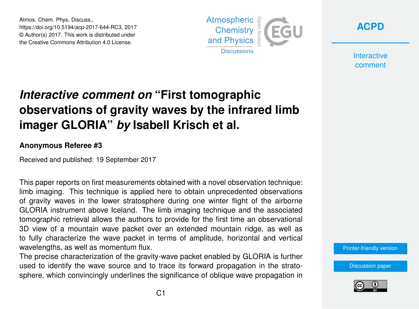Atmos. Chem. Phys. Discuss., https://doi.org/10.5194/acp-2017-644-RC3, 2017 © Author(s) 2017. This work is distributed under the Creative Commons Attribution 4.0 License.





**Interactive** comment

# *Interactive comment on* **"First tomographic observations of gravity waves by the infrared limb imager GLORIA"** *by* **Isabell Krisch et al.**

### **Anonymous Referee #3**

Received and published: 19 September 2017

This paper reports on first measurements obtained with a novel observation technique: limb imaging. This technique is applied here to obtain unprecedented observations of gravity waves in the lower stratosphere during one winter flight of the airborne GLORIA instrument above Iceland. The limb imaging technique and the associated tomographic retrieval allows the authors to provide for the first time an observational 3D view of a mountain wave packet over an extended mountain ridge, as well as to fully characterize the wave packet in terms of amplitude, horizontal and vertical wavelengths, as well as momentum flux.

The precise characterization of the gravity-wave packet enabled by GLORIA is further used to identify the wave source and to trace its forward propagation in the stratosphere, which convincingly underlines the significance of oblique wave propagation in [Printer-friendly version](https://www.atmos-chem-phys-discuss.net/acp-2017-644/acp-2017-644-RC3-print.pdf)

[Discussion paper](https://www.atmos-chem-phys-discuss.net/acp-2017-644)

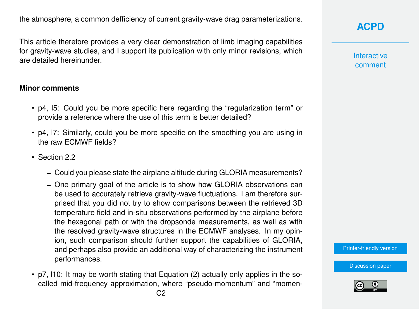the atmosphere, a common defficiency of current gravity-wave drag parameterizations.

This article therefore provides a very clear demonstration of limb imaging capabilities for gravity-wave studies, and I support its publication with only minor revisions, which are detailed hereinunder.

#### **Minor comments**

- p4, l5: Could you be more specific here regarding the "regularization term" or provide a reference where the use of this term is better detailed?
- p4, l7: Similarly, could you be more specific on the smoothing you are using in the raw ECMWF fields?
- Section 2.2
	- Could you please state the airplane altitude during GLORIA measurements?
	- One primary goal of the article is to show how GLORIA observations can be used to accurately retrieve gravity-wave fluctuations. I am therefore surprised that you did not try to show comparisons between the retrieved 3D temperature field and in-situ observations performed by the airplane before the hexagonal path or with the dropsonde measurements, as well as with the resolved gravity-wave structures in the ECMWF analyses. In my opinion, such comparison should further support the capabilities of GLORIA, and perhaps also provide an additional way of characterizing the instrument performances.
- p7, l10: It may be worth stating that Equation (2) actually only applies in the socalled mid-frequency approximation, where "pseudo-momentum" and "momen-

**Interactive** comment

[Printer-friendly version](https://www.atmos-chem-phys-discuss.net/acp-2017-644/acp-2017-644-RC3-print.pdf)

[Discussion paper](https://www.atmos-chem-phys-discuss.net/acp-2017-644)